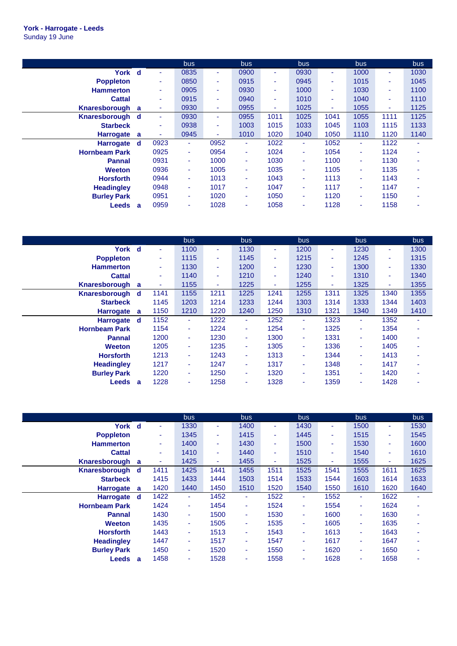|                      |   |      | bus  |      | bus  |      | bus  |      | bus  |      | bus                      |
|----------------------|---|------|------|------|------|------|------|------|------|------|--------------------------|
| York d               |   | ۰    | 0835 | ٠    | 0900 | ٠    | 0930 | ٠    | 1000 | ٠    | 1030                     |
| <b>Poppleton</b>     |   | ٠    | 0850 | ٠    | 0915 | ۰    | 0945 | ٠    | 1015 | ٠    | 1045                     |
| <b>Hammerton</b>     |   | ٠    | 0905 | ٠    | 0930 | ۰    | 1000 | ٠    | 1030 | ٠    | 1100                     |
| <b>Cattal</b>        |   | ٠    | 0915 | ٠    | 0940 | ۰    | 1010 | ٠    | 1040 | ٠    | 1110                     |
| Knaresborough a      |   | ٠    | 0930 | ٠    | 0955 | ٠    | 1025 | ٠    | 1055 | ٠    | 1125                     |
| Knaresborough d      |   | ٠    | 0930 | ٠    | 0955 | 1011 | 1025 | 1041 | 1055 | 1111 | 1125                     |
| <b>Starbeck</b>      |   | ٠    | 0938 | ٠    | 1003 | 1015 | 1033 | 1045 | 1103 | 1115 | 1133                     |
| <b>Harrogate</b>     | a | ٠    | 0945 | ٠    | 1010 | 1020 | 1040 | 1050 | 1110 | 1120 | 1140                     |
| <b>Harrogate</b>     | d | 0923 | ٠    | 0952 | ٠    | 1022 | ٠    | 1052 | ٠    | 1122 | $\overline{\phantom{a}}$ |
| <b>Hornbeam Park</b> |   | 0925 | ٠    | 0954 | ÷    | 1024 | ٠    | 1054 | ٠    | 1124 |                          |
| <b>Pannal</b>        |   | 0931 | ٠    | 1000 | ÷    | 1030 | ٠    | 1100 | ٠    | 1130 |                          |
| <b>Weeton</b>        |   | 0936 | ٠    | 1005 | ٠    | 1035 | ٠    | 1105 | ٠    | 1135 |                          |
| <b>Horsforth</b>     |   | 0944 | ٠    | 1013 | ÷    | 1043 | ٠    | 1113 | ٠    | 1143 |                          |
| <b>Headingley</b>    |   | 0948 | ٠    | 1017 | ÷    | 1047 | ٠    | 1117 | ٠    | 1147 |                          |
| <b>Burley Park</b>   |   | 0951 | ٠    | 1020 | ۰.   | 1050 | ٠    | 1120 | ٠    | 1150 | ۰                        |
| <b>Leeds</b>         | a | 0959 | ٠    | 1028 |      | 1058 | ٠    | 1128 | ٠    | 1158 |                          |

|                      |   |      | bus  |        | <b>bus</b> |      | bus    |      | <b>bus</b> |      | bus  |
|----------------------|---|------|------|--------|------------|------|--------|------|------------|------|------|
| York d               |   | ۰    | 1100 | ٠      | 1130       | ۰.   | 1200   | ٠    | 1230       | ٠    | 1300 |
| <b>Poppleton</b>     |   | ٠    | 1115 | ٠      | 1145       | ۰    | 1215   | ٠    | 1245       | ٠    | 1315 |
| <b>Hammerton</b>     |   | ٠    | 1130 | ٠      | 1200       | ۰    | 1230   | ۰    | 1300       | ٠    | 1330 |
| <b>Cattal</b>        |   | ٠    | 1140 | $\sim$ | 1210       | ٠    | 1240   | ٠    | 1310       | ٠    | 1340 |
| Knaresborough a      |   | ٠    | 1155 | ٠      | 1225       | ٠    | 1255   | ٠    | 1325       | ٠    | 1355 |
| Knaresborough        | d | 1141 | 1155 | 1211   | 1225       | 1241 | 1255   | 1311 | 1325       | 1340 | 1355 |
| <b>Starbeck</b>      |   | 1145 | 1203 | 1214   | 1233       | 1244 | 1303   | 1314 | 1333       | 1344 | 1403 |
| <b>Harrogate</b>     | a | 1150 | 1210 | 1220   | 1240       | 1250 | 1310   | 1321 | 1340       | 1349 | 1410 |
| <b>Harrogate</b>     | d | 1152 | ٠    | 1222   | $\sim$     | 1252 | ٠      | 1323 | ٠          | 1352 | ٠    |
| <b>Hornbeam Park</b> |   | 1154 | ٠    | 1224   | ÷          | 1254 | ٠      | 1325 | ٠          | 1354 | ۰    |
| <b>Pannal</b>        |   | 1200 | ٠    | 1230   | ÷          | 1300 | ٠      | 1331 | ٠          | 1400 | ۰    |
| <b>Weeton</b>        |   | 1205 | ٠    | 1235   | ÷          | 1305 | ٠      | 1336 |            | 1405 | ۰    |
| <b>Horsforth</b>     |   | 1213 | ٠    | 1243   | ÷          | 1313 | $\sim$ | 1344 | ٠          | 1413 | ۰    |
| <b>Headingley</b>    |   | 1217 | ٠    | 1247   | ÷          | 1317 | ٠      | 1348 | ٠          | 1417 | ۰    |
| <b>Burley Park</b>   |   | 1220 | ٠    | 1250   | ÷          | 1320 | ٠      | 1351 | ٠          | 1420 | ۰    |
| Leeds                | a | 1228 | ٠    | 1258   |            | 1328 | ٠      | 1359 |            | 1428 | ۰    |

|                      |   |      | <b>bus</b> |      | bus. |      | bus.   |      | <b>bus</b> |      | bus                      |
|----------------------|---|------|------------|------|------|------|--------|------|------------|------|--------------------------|
| York d               |   | ٠    | 1330       | ٠    | 1400 | ٠    | 1430   | ٠    | 1500       | ÷    | 1530                     |
| <b>Poppleton</b>     |   | ۰    | 1345       | ٠    | 1415 | ٠    | 1445   | ۰    | 1515       | ٠    | 1545                     |
| <b>Hammerton</b>     |   | ٠    | 1400       | ٠    | 1430 | ٠    | 1500   | ٠    | 1530       | ٠    | 1600                     |
| <b>Cattal</b>        |   | ٠    | 1410       | ٠    | 1440 | ٠    | 1510   | ٠    | 1540       | ٠    | 1610                     |
| Knaresborough        | a | ٠    | 1425       | ٠    | 1455 | ٠    | 1525   | ٠    | 1555       | ٠    | 1625                     |
| Knaresborough        | d | 1411 | 1425       | 1441 | 1455 | 1511 | 1525   | 1541 | 1555       | 1611 | 1625                     |
| <b>Starbeck</b>      |   | 1415 | 1433       | 1444 | 1503 | 1514 | 1533   | 1544 | 1603       | 1614 | 1633                     |
| <b>Harrogate</b>     | a | 1420 | 1440       | 1450 | 1510 | 1520 | 1540   | 1550 | 1610       | 1620 | 1640                     |
| <b>Harrogate</b>     | d | 1422 | ٠          | 1452 | ٠    | 1522 | ٠      | 1552 | ٠          | 1622 | $\overline{\phantom{a}}$ |
| <b>Hornbeam Park</b> |   | 1424 | ٠          | 1454 | ÷    | 1524 | ٠      | 1554 | ٠          | 1624 | ٠                        |
| <b>Pannal</b>        |   | 1430 | ٠          | 1500 | ٠    | 1530 | ٠      | 1600 | ٠          | 1630 |                          |
| <b>Weeton</b>        |   | 1435 | ٠          | 1505 | ٠    | 1535 | $\sim$ | 1605 | ٠          | 1635 | $\overline{\phantom{a}}$ |
| <b>Horsforth</b>     |   | 1443 | ٠          | 1513 | ÷    | 1543 | ٠      | 1613 | ٠          | 1643 |                          |
| <b>Headingley</b>    |   | 1447 | ٠          | 1517 | ٠    | 1547 | ٠      | 1617 | ٠          | 1647 | ۰                        |
| <b>Burley Park</b>   |   | 1450 | ٠          | 1520 | ٠    | 1550 | $\sim$ | 1620 | ٠          | 1650 | ٠                        |
| Leeds                | a | 1458 | ۰          | 1528 | ٠    | 1558 | ٠      | 1628 | ٠          | 1658 |                          |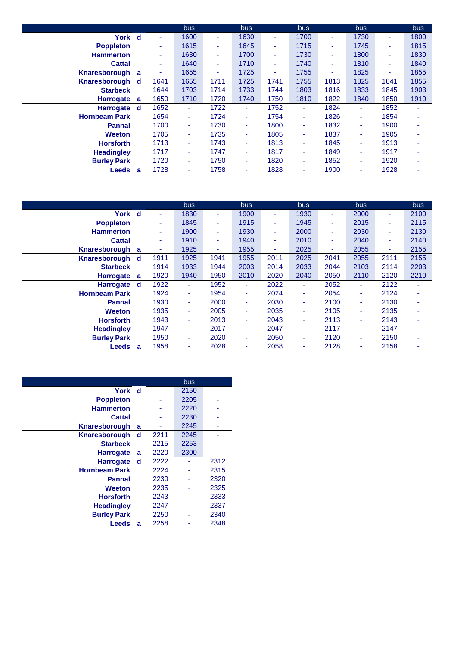|                      |          |      | bus.           |      | bus. |      | bus            |      | bus. |      | bus. |
|----------------------|----------|------|----------------|------|------|------|----------------|------|------|------|------|
| York d               |          | ٠    | 1600           | ۰.   | 1630 | ٠    | 1700           | ٠    | 1730 | ٠    | 1800 |
| <b>Poppleton</b>     |          | ٠    | 1615           | ٠    | 1645 | ٠    | 1715           | ۰    | 1745 | ٠    | 1815 |
| <b>Hammerton</b>     |          | ٠    | 1630           | ٠    | 1700 | ٠    | 1730           | ٠    | 1800 | ٠    | 1830 |
| <b>Cattal</b>        |          | ٠    | 1640           | ٠    | 1710 | ٠    | 1740           | ٠    | 1810 | ٠    | 1840 |
| Knaresborough        | a        | ٠    | 1655           | ٠    | 1725 | ٠    | 1755           | ۰    | 1825 | ۰    | 1855 |
| Knaresborough        | <b>d</b> | 1641 | 1655           | 1711 | 1725 | 1741 | 1755           | 1813 | 1825 | 1841 | 1855 |
| <b>Starbeck</b>      |          | 1644 | 1703           | 1714 | 1733 | 1744 | 1803           | 1816 | 1833 | 1845 | 1903 |
| <b>Harrogate</b>     | a        | 1650 | 1710           | 1720 | 1740 | 1750 | 1810           | 1822 | 1840 | 1850 | 1910 |
| <b>Harrogate</b>     | d        | 1652 | $\blacksquare$ | 1722 | ÷    | 1752 | ٠              | 1824 | ٠    | 1852 | ۰    |
| <b>Hornbeam Park</b> |          | 1654 | ٠              | 1724 | ٠    | 1754 | $\sim$         | 1826 | ٠    | 1854 | ٠    |
| <b>Pannal</b>        |          | 1700 | $\blacksquare$ | 1730 | ٠    | 1800 | $\blacksquare$ | 1832 | ÷    | 1900 | ۰    |
| <b>Weeton</b>        |          | 1705 | ٠              | 1735 | ٠    | 1805 | ٠              | 1837 |      | 1905 | ٠    |
| <b>Horsforth</b>     |          | 1713 | ٠              | 1743 | ٠    | 1813 | ٠              | 1845 | ٠    | 1913 | ٠    |
| <b>Headingley</b>    |          | 1717 | ٠              | 1747 | ٠    | 1817 | ٠              | 1849 | ÷    | 1917 | ۰    |
| <b>Burley Park</b>   |          | 1720 | ٠              | 1750 | ٠    | 1820 | ٠              | 1852 | ٠    | 1920 | ٠    |
| Leeds                | a        | 1728 | ٠              | 1758 | ۰    | 1828 | ٠              | 1900 | ٠    | 1928 | ٠    |

|                      |             |      | bus. |      | bus  |      | bus  |      | <b>bus</b> |      | bus  |
|----------------------|-------------|------|------|------|------|------|------|------|------------|------|------|
| York                 | $\mathbf d$ | ٠    | 1830 | ٠    | 1900 | ۰    | 1930 | ۰    | 2000       | ٠    | 2100 |
| <b>Poppleton</b>     |             | ٠    | 1845 | ٠    | 1915 | ۰    | 1945 | ۰    | 2015       | ٠    | 2115 |
| <b>Hammerton</b>     |             | ٠    | 1900 | ٠    | 1930 | ۰    | 2000 | ٠    | 2030       | ٠    | 2130 |
| <b>Cattal</b>        |             | ٠    | 1910 | ٠    | 1940 | ۰    | 2010 | ۰    | 2040       | ٠    | 2140 |
| Knaresborough        | a           | ٠    | 1925 | ۰.   | 1955 | ٠    | 2025 | ٠    | 2055       | ٠    | 2155 |
| Knaresborough        | d           | 1911 | 1925 | 1941 | 1955 | 2011 | 2025 | 2041 | 2055       | 2111 | 2155 |
| <b>Starbeck</b>      |             | 1914 | 1933 | 1944 | 2003 | 2014 | 2033 | 2044 | 2103       | 2114 | 2203 |
| <b>Harrogate</b>     | a           | 1920 | 1940 | 1950 | 2010 | 2020 | 2040 | 2050 | 2110       | 2120 | 2210 |
| <b>Harrogate</b>     | d           | 1922 | ٠    | 1952 | ٠    | 2022 | ٠    | 2052 | ٠          | 2122 | ٠    |
| <b>Hornbeam Park</b> |             | 1924 | ٠    | 1954 | ٠    | 2024 | ٠    | 2054 | ٠          | 2124 | ۰    |
| <b>Pannal</b>        |             | 1930 | ٠    | 2000 | ٠    | 2030 | ٠    | 2100 | ۰          | 2130 | ۰    |
| <b>Weeton</b>        |             | 1935 | ٠    | 2005 | ٠    | 2035 | ٠    | 2105 | ٠          | 2135 | ۰    |
| <b>Horsforth</b>     |             | 1943 | ٠    | 2013 | ٠    | 2043 | ÷    | 2113 | ۰          | 2143 | ٠    |
| <b>Headingley</b>    |             | 1947 | ٠    | 2017 | ٠    | 2047 | ٠    | 2117 | ٠          | 2147 | ۰    |
| <b>Burley Park</b>   |             | 1950 | ٠    | 2020 | ٠    | 2050 | ٠    | 2120 | ۰          | 2150 | ۰    |
| <b>Leeds</b>         | a           | 1958 | ۰    | 2028 | ٠    | 2058 | ٠    | 2128 |            | 2158 | ۰    |

|                      |     |      | bus  |      |
|----------------------|-----|------|------|------|
| York                 | ∣ d |      | 2150 |      |
| <b>Poppleton</b>     |     |      | 2205 |      |
| <b>Hammerton</b>     |     |      | 2220 |      |
| <b>Cattal</b>        |     |      | 2230 |      |
| <b>Knaresborough</b> | a   |      | 2245 |      |
| <b>Knaresborough</b> | d   | 2211 | 2245 |      |
| <b>Starbeck</b>      |     | 2215 | 2253 |      |
| <b>Harrogate</b>     | a   | 2220 | 2300 |      |
| <b>Harrogate</b>     | d   | 2222 |      | 2312 |
| <b>Hornbeam Park</b> |     | 2224 |      | 2315 |
| <b>Pannal</b>        |     | 2230 |      | 2320 |
| Weeton               |     | 2235 |      | 2325 |
| <b>Horsforth</b>     |     | 2243 |      | 2333 |
| <b>Headingley</b>    |     | 2247 |      | 2337 |
| <b>Burley Park</b>   |     | 2250 |      | 2340 |
| Leeds                | a   | 2258 |      | 2348 |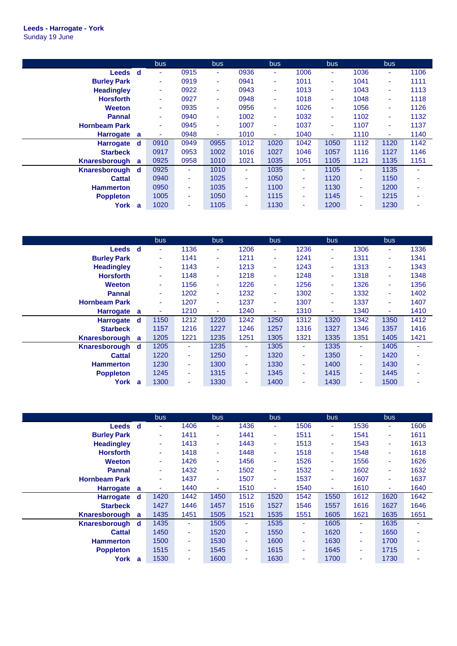|                      |          | bus. |      | bus            |      | bus. |      | bus  |      | bus. |      |
|----------------------|----------|------|------|----------------|------|------|------|------|------|------|------|
| Leeds d              |          | ٠    | 0915 | ٠              | 0936 | ۰    | 1006 | ٠    | 1036 | ٠    | 1106 |
| <b>Burley Park</b>   |          | ٠    | 0919 | $\blacksquare$ | 0941 | ٠    | 1011 | ٠    | 1041 | ٠    | 1111 |
| <b>Headingley</b>    |          | ٠    | 0922 | ٠              | 0943 | ۰    | 1013 | ٠    | 1043 | ٠    | 1113 |
| <b>Horsforth</b>     |          | ٠    | 0927 | ٠              | 0948 | ۰    | 1018 | ٠    | 1048 | ٠    | 1118 |
| <b>Weeton</b>        |          | ٠    | 0935 | ÷              | 0956 | ٠    | 1026 | ٠    | 1056 | ٠    | 1126 |
| <b>Pannal</b>        |          | ٠    | 0940 | $\blacksquare$ | 1002 | ٠    | 1032 | ٠    | 1102 | ٠    | 1132 |
| <b>Hornbeam Park</b> |          | ٠    | 0945 | $\blacksquare$ | 1007 | ۰    | 1037 | ٠    | 1107 | ٠    | 1137 |
| <b>Harrogate</b>     | a        | ٠    | 0948 | ٠              | 1010 | ٠    | 1040 | ٠    | 1110 | ٠    | 1140 |
| <b>Harrogate</b>     | <b>d</b> | 0910 | 0949 | 0955           | 1012 | 1020 | 1042 | 1050 | 1112 | 1120 | 1142 |
| <b>Starbeck</b>      |          | 0917 | 0953 | 1002           | 1016 | 1027 | 1046 | 1057 | 1116 | 1127 | 1146 |
| Knaresborough        | a        | 0925 | 0958 | 1010           | 1021 | 1035 | 1051 | 1105 | 1121 | 1135 | 1151 |
| Knaresborough d      |          | 0925 | ٠    | 1010           | ٠    | 1035 | ٠    | 1105 | ٠    | 1135 |      |
| <b>Cattal</b>        |          | 0940 | ٠    | 1025           | ٠    | 1050 | ٠    | 1120 | ٠    | 1150 |      |
| <b>Hammerton</b>     |          | 0950 | ٠    | 1035           | ٠    | 1100 | ٠    | 1130 | ۰    | 1200 |      |
| <b>Poppleton</b>     |          | 1005 | ٠    | 1050           | ۰.   | 1115 | ٠    | 1145 | ۰    | 1215 |      |
| York                 | a        | 1020 | ٠    | 1105           | ٠    | 1130 | ٠    | 1200 | ٠    | 1230 |      |

|                      |   | bus.                     |      | bus  |      | bus. |      | bus  |      | bus. |      |
|----------------------|---|--------------------------|------|------|------|------|------|------|------|------|------|
| Leeds d              |   | $\blacksquare$           | 1136 | ٠    | 1206 | ٠    | 1236 | ٠    | 1306 | ٠    | 1336 |
| <b>Burley Park</b>   |   | ٠                        | 1141 | ٠    | 1211 | ٠    | 1241 | ٠    | 1311 | ٠    | 1341 |
| <b>Headingley</b>    |   | ٠                        | 1143 | ٠    | 1213 | ٠    | 1243 | ٠    | 1313 | ٠    | 1343 |
| <b>Horsforth</b>     |   | ٠                        | 1148 | ٠    | 1218 | ٠    | 1248 | ٠    | 1318 | ٠    | 1348 |
| <b>Weeton</b>        |   | ٠                        | 1156 | ÷    | 1226 | ٠    | 1256 | ٠    | 1326 | ٠    | 1356 |
| <b>Pannal</b>        |   | ٠                        | 1202 | ٠    | 1232 | ٠    | 1302 | ٠    | 1332 | ٠    | 1402 |
| <b>Hornbeam Park</b> |   | ٠                        | 1207 | ٠    | 1237 | ٠    | 1307 | ٠    | 1337 | ٠    | 1407 |
| <b>Harrogate</b>     | a | $\overline{\phantom{a}}$ | 1210 | ٠    | 1240 | ٠    | 1310 | ٠    | 1340 | ٠    | 1410 |
| <b>Harrogate</b>     | d | 1150                     | 1212 | 1220 | 1242 | 1250 | 1312 | 1320 | 1342 | 1350 | 1412 |
| <b>Starbeck</b>      |   | 1157                     | 1216 | 1227 | 1246 | 1257 | 1316 | 1327 | 1346 | 1357 | 1416 |
| Knaresborough        | a | 1205                     | 1221 | 1235 | 1251 | 1305 | 1321 | 1335 | 1351 | 1405 | 1421 |
| Knaresborough        | d | 1205                     | ٠    | 1235 | ۰.   | 1305 | ٠    | 1335 | ۰    | 1405 |      |
| <b>Cattal</b>        |   | 1220                     | ٠    | 1250 | ٠    | 1320 | ٠    | 1350 | ۰    | 1420 |      |
| <b>Hammerton</b>     |   | 1230                     | ٠    | 1300 | ٠    | 1330 | ٠    | 1400 | ٠    | 1430 |      |
| <b>Poppleton</b>     |   | 1245                     | ٠    | 1315 | ٠    | 1345 | ٠    | 1415 | ٠    | 1445 |      |
| York                 | a | 1300                     | ۰    | 1330 | ۰    | 1400 | ٠    | 1430 | ٠    | 1500 |      |

|                      |   | bus.   |      | bus. |      | bus.           |      | bus. |      | bus  |      |
|----------------------|---|--------|------|------|------|----------------|------|------|------|------|------|
| <b>Leeds</b>         | d | $\sim$ | 1406 | ٠    | 1436 | ٠              | 1506 | ٠    | 1536 | ۰.   | 1606 |
| <b>Burley Park</b>   |   | $\sim$ | 1411 | ٠    | 1441 | ٠              | 1511 | ٠    | 1541 | ÷    | 1611 |
| <b>Headingley</b>    |   | ٠      | 1413 | ٠    | 1443 | ٠              | 1513 | ٠    | 1543 | ٠    | 1613 |
| <b>Horsforth</b>     |   | ٠      | 1418 | ٠    | 1448 | ٠              | 1518 | ٠    | 1548 | ÷    | 1618 |
| <b>Weeton</b>        |   | ٠      | 1426 | ٠    | 1456 | ٠              | 1526 | ٠    | 1556 | ÷    | 1626 |
| <b>Pannal</b>        |   | ÷      | 1432 | ٠    | 1502 | ٠              | 1532 | ٠    | 1602 | ÷    | 1632 |
| <b>Hornbeam Park</b> |   | ÷      | 1437 | ٠    | 1507 | $\blacksquare$ | 1537 | ٠    | 1607 | ٠    | 1637 |
| <b>Harrogate</b>     | a | ٠      | 1440 | ٠    | 1510 | ٠              | 1540 | ٠    | 1610 | ٠    | 1640 |
| <b>Harrogate</b>     | d | 1420   | 1442 | 1450 | 1512 | 1520           | 1542 | 1550 | 1612 | 1620 | 1642 |
| <b>Starbeck</b>      |   | 1427   | 1446 | 1457 | 1516 | 1527           | 1546 | 1557 | 1616 | 1627 | 1646 |
| Knaresborough        | a | 1435   | 1451 | 1505 | 1521 | 1535           | 1551 | 1605 | 1621 | 1635 | 1651 |
| Knaresborough        | d | 1435   | ٠    | 1505 | ٠    | 1535           | ٠    | 1605 | ٠    | 1635 | ۰    |
| <b>Cattal</b>        |   | 1450   | ٠    | 1520 | ٠    | 1550           | ٠    | 1620 | ٠    | 1650 |      |
| <b>Hammerton</b>     |   | 1500   | ٠    | 1530 | ٠    | 1600           | ٠    | 1630 | ۰    | 1700 |      |
| <b>Poppleton</b>     |   | 1515   | ٠    | 1545 | ٠    | 1615           | ٠    | 1645 | ٠    | 1715 | ۰    |
| York                 | a | 1530   | ٠    | 1600 | ٠    | 1630           | ٠    | 1700 | ۰    | 1730 |      |